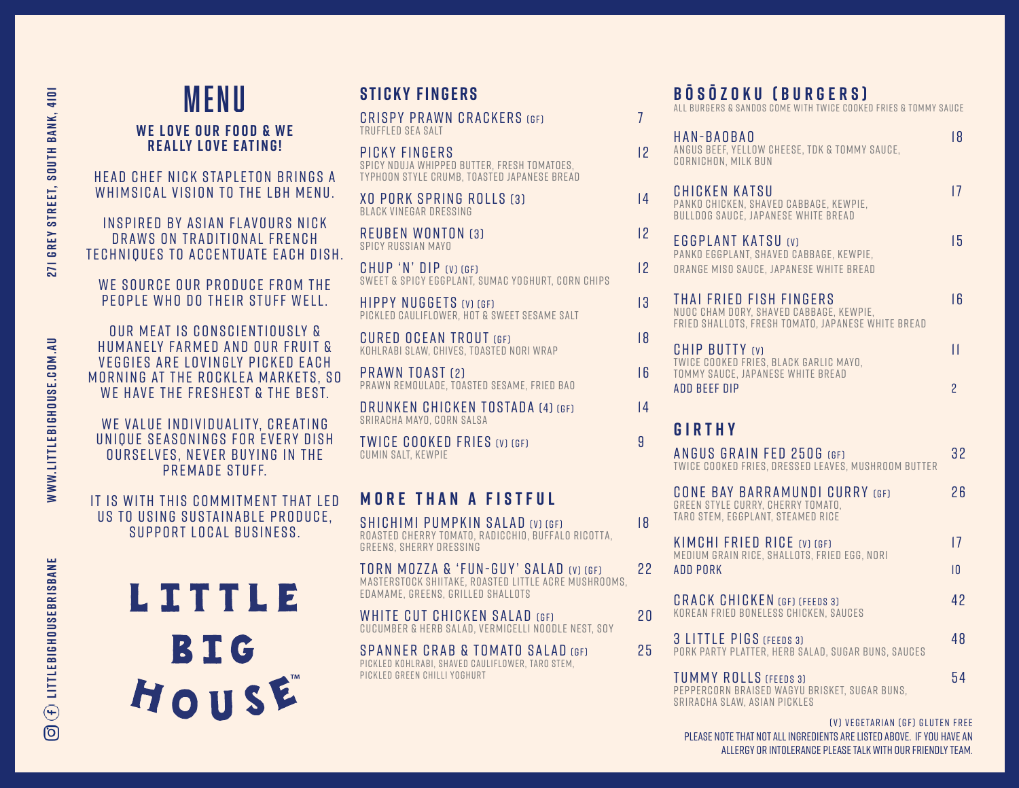# MENU **STICKY FINGERS W E L O V E O U R F O O D & W E REALLY LOVE EATING!**

HEAD CHEF NICK STAPLETON BRINGS A WHIMSICAL VISION TO THE LBH MENU.

INSPIRED BY ASIAN FLAVOURS NICK DRAWS ON TRADITIONAL FRENCH TECHNIQUES TO ACCENTUATE EACH DISH.

WE SOURCE OUR PRODUCE FROM THE PEOPLE WHO DO THEIR STUFF WELL.

OUR MEAT IS CONSCIENTIOUSLY & HUMANELY FARMED AND OUR FRUIT & VEGGIES ARE LOVINGLY PICKED EACH MORNING AT THE ROCKLEA MARKETS, SO WE HAVE THE FRESHEST & THE BEST.

WE VALUE INDIVIDUALITY, CREATING UNIQUE SEASONINGS FOR EVERY DISH OURSELVES, NEVER BUYING IN THE PREMADE STUFF.

IT IS WITH THIS COMMITMENT THAT LED US TO USING SUSTAINABLE PRODUCE. SUPPORT LOCAL BUSINESS.



CRISPY PRAWN CRACKERS (GF) 7 truffled sea salt

picky fingers 12 spicy nduja whipped butter, fresh tomatoes, typhoon style crumb, toasted japanese bread

xo pork spring rolls (3) 1 4 black vinegar dressing

REUBEN WONTON (3) 2 spicy russian mayo

 $CHUP'N' DIP (V) (GF)$  12 SWEET & SPICY EGGPLANT, SUMAC YOGHURT, CORN CHIPS

HIPPY NUGGETS (V) (GF) 13 pickled cauliflower, hot & sweet sesame salt

CURED OCEAN TROUT (GF) 18 kohlrabi slaw, chives, toasted nori wrap

PRAWN TOAST (2) 8 16 prawn remoulade, toasted sesame, fried bao

DRUNKEN CHICKEN TOSTADA (4) (GF) 14 sriracha mayo, corn salsa

TWICE COOKED FRIES (V) (GF) 9 cumin salt, kewpie

# **MORE THAN A FISTFUL**

SHICHIMI PUMPKIN SALAD (V) (GF) 18 ROASTED CHERRY TOMATO, RADICCHIO, BUFFALO RICOTTA, GREENS, SHERRY DRESSING

TORN MOZZA & 'FUN-GUY' SALAD (v) (GF) 2 2 MASTERSTOCK SHIITAKE, ROASTED LITTLE ACRE MUSHROOMS, EDAMAME, GREENS, GRILLED SHALLOTS

WHITE CUT CHICKEN SALAD (GF) 20 CUCUMBER & HERB SALAD, VERMICELLI NOODLE NEST, SOY

SPANNER CRAB & TOMATO SALAD (GF) 25 PICKLED KOHLRABI, SHAVED CAULIFLOWER, TARO STEM, PICKLED GREEN CHILLI YOGHURT

# **B Ō S Ō Z O K U ( B U R G E R S )**

ALL BURGERS & SANDOS COME WITH TWICE COOKED FRIES & TOMMY SAUCE

| HAN-BAOBAO<br>ANGUS BEEF, YELLOW CHEESE, TDK & TOMMY SAUCE,<br>CORNICHON, MILK BUN                                       | 8               |
|--------------------------------------------------------------------------------------------------------------------------|-----------------|
| CHICKEN KATSU<br>PANKO CHICKEN, SHAVED CABBAGE, KEWPIE,<br>BULLDOG SAUCE, JAPANESE WHITE BREAD                           | 17              |
| <b>EGGPLANT KATSU (V)</b><br>PANKO EGGPLANT, SHAVED CABBAGE, KEWPIE,<br>ORANGE MISO SAUCE, JAPANESE WHITE BREAD          | 15              |
| THAI FRIED FISH FINGERS<br>NUOC CHAM DORY, SHAVED CABBAGE, KEWPIE,<br>FRIED SHALLOTS, FRESH TOMATO, JAPANESE WHITE BREAD | 16              |
| <b>CHIP BUTTY (V)</b><br>TWICE COOKED FRIES, BLACK GARLIC MAYO,                                                          | П               |
| TOMMY SAUCE, JAPANESE WHITE BREAD<br><b>ADD BEEF DIP</b>                                                                 | 2               |
| GIRTHY                                                                                                                   |                 |
| <b>ANGUS GRAIN FED 250G (GF)</b><br>TWICE COOKED FRIES, DRESSED LEAVES, MUSHROOM BUTTER                                  | 32              |
| <b>CONE BAY BARRAMUNDI CURRY (GF)</b><br>GREEN STYLE CURRY, CHERRY TOMATO,<br>TARO STEM, EGGPLANT, STEAMED RICE          | 26              |
| KIMCHI FRIED RICE (V) (GF)<br>MEDIUM GRAIN RICE, SHALLOTS, FRIED EGG, NORI                                               | $\overline{17}$ |
| <b>ADD PORK</b>                                                                                                          | $\overline{10}$ |
| <b>CRACK CHICKEN (GF) (FEEDS 3)</b><br>KOREAN FRIED BONELESS CHICKEN, SAUCES                                             | 42              |
| 3 LITTLE PIGS (FEEDS 3)<br>PORK PARTY PLATTER, HERB SALAD, SUGAR BUNS, SAUCES                                            | 48              |
| <b>TUMMY ROLLS (FEEDS 3)</b><br>PEPPERCORN BRAISED WAGYU BRISKET, SUGAR BUNS,<br>SRIRACHA SLAW, ASIAN PICKLES            | 54              |

(v) VEGETARIAN (GF) GLUTEN FREE PLEASE NOTE THAT NOT ALL INGREDIENTS ARE LISTED ABOVE. IF YOU HAVE AN ALLERGY OR INTOLERANCE PLEASE TALK WITH OUR FRIENDLY TEAM.